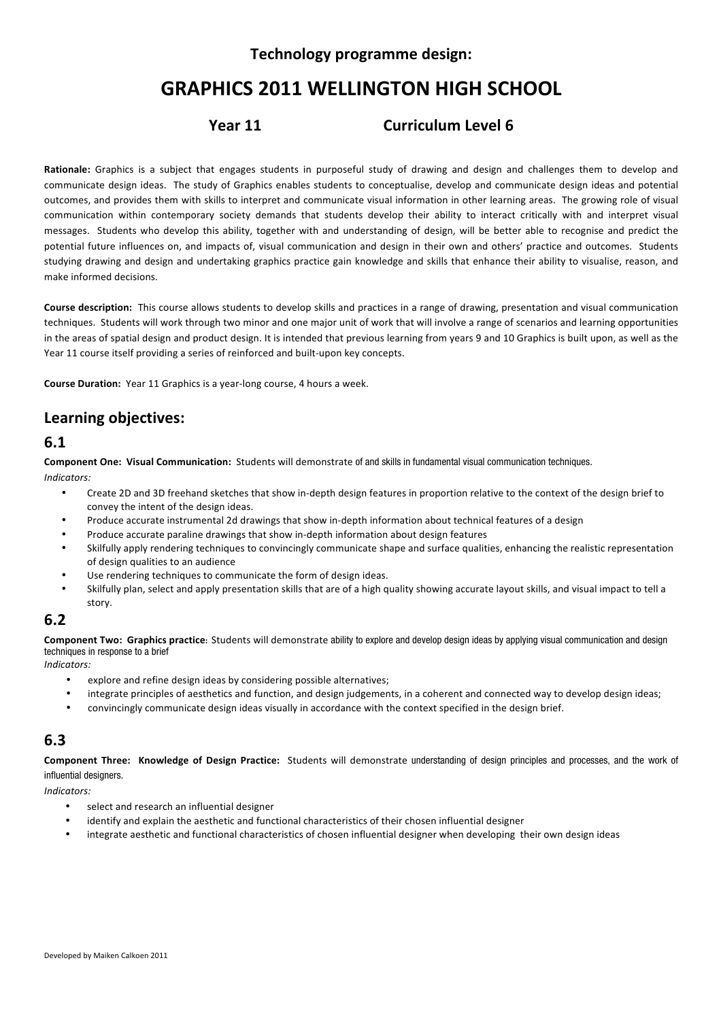# **Technology programme design:**

# **GRAPHICS 2011 WELLINGTON HIGH SCHOOL**

# **Year 11 Curriculum Level 6**

Rationale: Graphics is a subject that engages students in purposeful study of drawing and design and challenges them to develop and communicate design ideas. The study of Graphics enables students to conceptualise, develop and communicate design ideas and potential outcomes, and provides them with skills to interpret and communicate visual information in other learning areas. The growing role of visual communication within contemporary society demands that students develop their ability to interact critically with and interpret visual messages. Students who develop this ability, together with and understanding of design, will be better able to recognise and predict the potential future influences on, and impacts of, visual communication and design in their own and others' practice and outcomes. Students studying drawing and design and undertaking graphics practice gain knowledge and skills that enhance their ability to visualise, reason, and make informed decisions.

Course description: This course allows students to develop skills and practices in a range of drawing, presentation and visual communication techniques. Students will work through two minor and one major unit of work that will involve a range of scenarios and learning opportunities in the areas of spatial design and product design. It is intended that previous learning from years 9 and 10 Graphics is built upon, as well as the Year 11 course itself providing a series of reinforced and built-upon key concepts.

**Course Duration:** Year 11 Graphics is a year-long course, 4 hours a week.

# **Learning\*objectives:**

# **6.1\*\***

**Component One: Visual Communication:** Students will demonstrate of and skills in fundamental visual communication techniques. *Indicators:*

- Create 2D and 3D freehand sketches that show in-depth design features in proportion relative to the context of the design brief to convey the intent of the design ideas.
- Produce accurate instrumental 2d drawings that show in-depth information about technical features of a design
- Produce accurate paraline drawings that show in-depth information about design features
- Skilfully apply rendering techniques to convincingly communicate shape and surface qualities, enhancing the realistic representation of design qualities to an audience
- Use rendering techniques to communicate the form of design ideas.
- Skilfully plan, select and apply presentation skills that are of a high quality showing accurate layout skills, and visual impact to tell a story.

# **6.2\*\***

**Component Two: Graphics practice:** Students will demonstrate ability to explore and develop design ideas by applying visual communication and design techniques in response to a brief

*Indicators:*

- explore and refine design ideas by considering possible alternatives;
- integrate principles of aesthetics and function, and design judgements, in a coherent and connected way to develop design ideas;
- convincingly communicate design ideas visually in accordance with the context specified in the design brief.

# **6.3\*\***

**Component Three: Knowledge of Design Practice:** Students will demonstrate understanding of design principles and processes, and the work of influential designers.

*Indicators:*

- select and research an influential designer
- identify and explain the aesthetic and functional characteristics of their chosen influential designer
- integrate aesthetic and functional characteristics of chosen influential designer when developing their own design ideas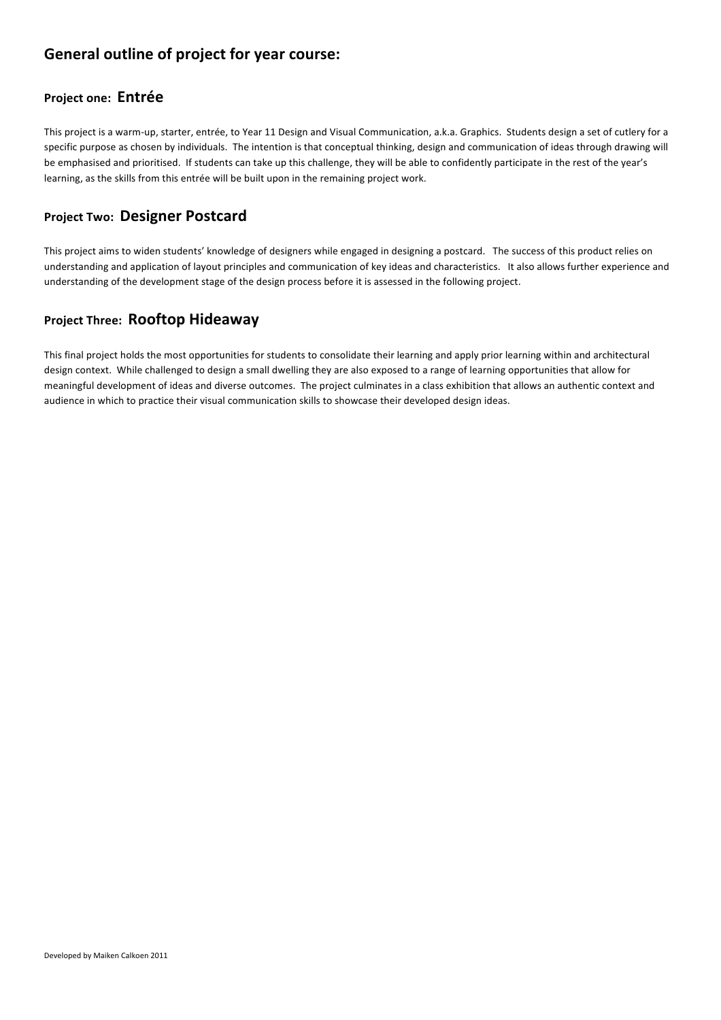# General outline of project for year course:

# **Project one: Entrée**

This project is a warm-up, starter, entrée, to Year 11 Design and Visual Communication, a.k.a. Graphics. Students design a set of cutlery for a specific purpose as chosen by individuals. The intention is that conceptual thinking, design and communication of ideas through drawing will be emphasised and prioritised. If students can take up this challenge, they will be able to confidently participate in the rest of the year's learning, as the skills from this entrée will be built upon in the remaining project work.

# **Project Two: Designer Postcard**

This project aims to widen students' knowledge of designers while engaged in designing a postcard. The success of this product relies on understanding and application of layout principles and communication of key ideas and characteristics. It also allows further experience and understanding of the development stage of the design process before it is assessed in the following project.

# **Project Three: Rooftop Hideaway**

This final project holds the most opportunities for students to consolidate their learning and apply prior learning within and architectural design context. While challenged to design a small dwelling they are also exposed to a range of learning opportunities that allow for meaningful development of ideas and diverse outcomes. The project culminates in a class exhibition that allows an authentic context and audience in which to practice their visual communication skills to showcase their developed design ideas.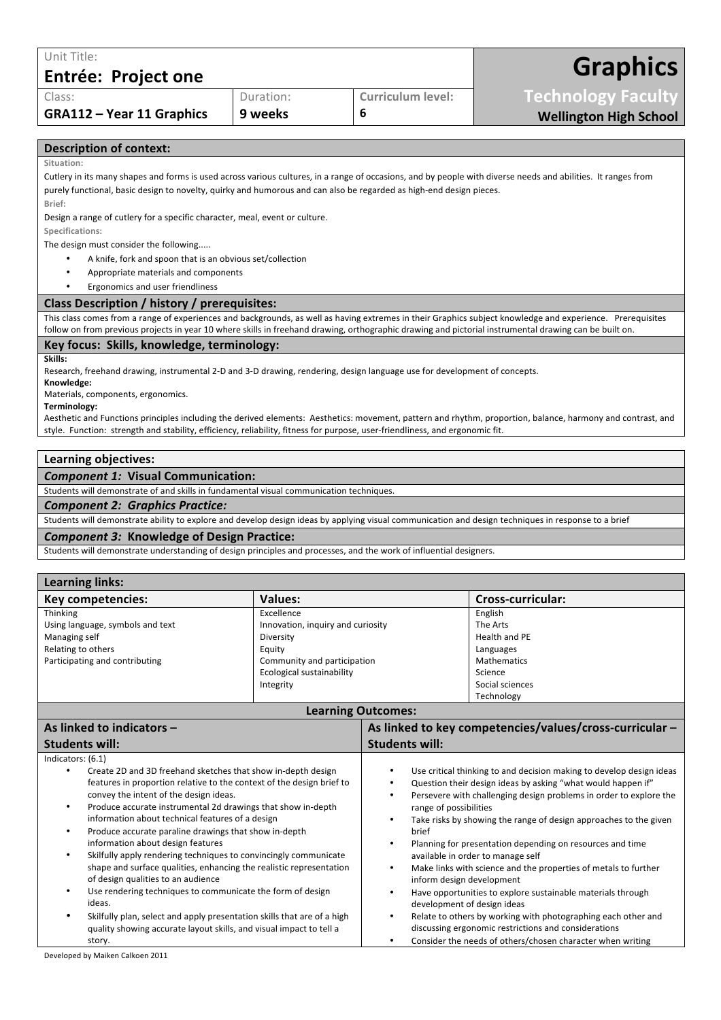| Unit Title:                      |           |                          |                               |
|----------------------------------|-----------|--------------------------|-------------------------------|
| <b>Entrée: Project one</b>       |           |                          | <b>Graphics</b>               |
| Class:                           | Duration: | <b>Curriculum level:</b> | <b>Technology Faculty</b>     |
| <b>GRA112 - Year 11 Graphics</b> | 9 weeks   | b                        | <b>Wellington High School</b> |
|                                  |           |                          |                               |
| <b>Description of context:</b>   |           |                          |                               |

Situation:

Cutlery in its many shapes and forms is used across various cultures, in a range of occasions, and by people with diverse needs and abilities. It ranges from purely functional, basic design to novelty, quirky and humorous and can also be regarded as high-end design pieces.

**Brief:**

Design a range of cutlery for a specific character, meal, event or culture.

**Specifications:**

The design must consider the following.....

- A knife, fork and spoon that is an obvious set/collection
- Appropriate materials and components
- Ergonomics and user friendliness

# **Class\*Description\*/\*history\*/\*prerequisites:**

This class comes from a range of experiences and backgrounds, as well as having extremes in their Graphics subject knowledge and experience. Prerequisites follow on from previous projects in year 10 where skills in freehand drawing, orthographic drawing and pictorial instrumental drawing can be built on.

# Key focus: Skills, knowledge, terminology:

**Skills:**

Research, freehand drawing, instrumental 2-D and 3-D drawing, rendering, design language use for development of concepts.

**Knowledge:** Materials, components, ergonomics.

**Terminology:**

Aesthetic and Functions principles including the derived elements: Aesthetics: movement, pattern and rhythm, proportion, balance, harmony and contrast, and style. Function: strength and stability, efficiency, reliability, fitness for purpose, user-friendliness, and ergonomic fit.

# **Learning\*objectives:**

# **Component 1: Visual Communication:**

Students will demonstrate of and skills in fundamental visual communication techniques.

**Component 2: Graphics Practice:** 

Students will demonstrate ability to explore and develop design ideas by applying visual communication and design techniques in response to a brief

# *Component 3:* **Knowledge of Design Practice:**

Students will demonstrate understanding of design principles and processes, and the work of influential designers.

| <b>Learning links:</b>           |                                   |                          |  |  |
|----------------------------------|-----------------------------------|--------------------------|--|--|
| <b>Key competencies:</b>         | Values:                           | <b>Cross-curricular:</b> |  |  |
| Thinking                         | Excellence                        | English                  |  |  |
| Using language, symbols and text | Innovation, inquiry and curiosity | The Arts                 |  |  |
| Managing self                    | Diversity                         | Health and PE            |  |  |
| Relating to others               | Equity                            | Languages                |  |  |
| Participating and contributing   | Community and participation       | <b>Mathematics</b>       |  |  |
|                                  | Ecological sustainability         | Science                  |  |  |
|                                  | Integrity                         | Social sciences          |  |  |
|                                  |                                   | Technology               |  |  |

# **Learning Outcomes:**

| As linked to indicators -                                                                                                                                                                                                                                                                                                                                                                                                                                                                                                                                                                                                                                                       | As linked to key competencies/values/cross-curricular -                                                                                                                                                                                                                                                                                                                                                                                                                                                                                                                                                            |  |  |
|---------------------------------------------------------------------------------------------------------------------------------------------------------------------------------------------------------------------------------------------------------------------------------------------------------------------------------------------------------------------------------------------------------------------------------------------------------------------------------------------------------------------------------------------------------------------------------------------------------------------------------------------------------------------------------|--------------------------------------------------------------------------------------------------------------------------------------------------------------------------------------------------------------------------------------------------------------------------------------------------------------------------------------------------------------------------------------------------------------------------------------------------------------------------------------------------------------------------------------------------------------------------------------------------------------------|--|--|
| <b>Students will:</b>                                                                                                                                                                                                                                                                                                                                                                                                                                                                                                                                                                                                                                                           | <b>Students will:</b>                                                                                                                                                                                                                                                                                                                                                                                                                                                                                                                                                                                              |  |  |
| Indicators: (6.1)<br>Create 2D and 3D freehand sketches that show in-depth design<br>features in proportion relative to the context of the design brief to<br>convey the intent of the design ideas.<br>Produce accurate instrumental 2d drawings that show in-depth<br>information about technical features of a design<br>Produce accurate paraline drawings that show in-depth<br>information about design features<br>Skilfully apply rendering techniques to convincingly communicate<br>shape and surface qualities, enhancing the realistic representation<br>of design qualities to an audience<br>Use rendering techniques to communicate the form of design<br>ideas. | Use critical thinking to and decision making to develop design ideas<br>Question their design ideas by asking "what would happen if"<br>Persevere with challenging design problems in order to explore the<br>range of possibilities<br>Take risks by showing the range of design approaches to the given<br>brief<br>Planning for presentation depending on resources and time<br>available in order to manage self<br>Make links with science and the properties of metals to further<br>inform design development<br>Have opportunities to explore sustainable materials through<br>development of design ideas |  |  |
| Skilfully plan, select and apply presentation skills that are of a high<br>quality showing accurate layout skills, and visual impact to tell a                                                                                                                                                                                                                                                                                                                                                                                                                                                                                                                                  | Relate to others by working with photographing each other and<br>discussing ergonomic restrictions and considerations                                                                                                                                                                                                                                                                                                                                                                                                                                                                                              |  |  |
| story.                                                                                                                                                                                                                                                                                                                                                                                                                                                                                                                                                                                                                                                                          | Consider the needs of others/chosen character when writing                                                                                                                                                                                                                                                                                                                                                                                                                                                                                                                                                         |  |  |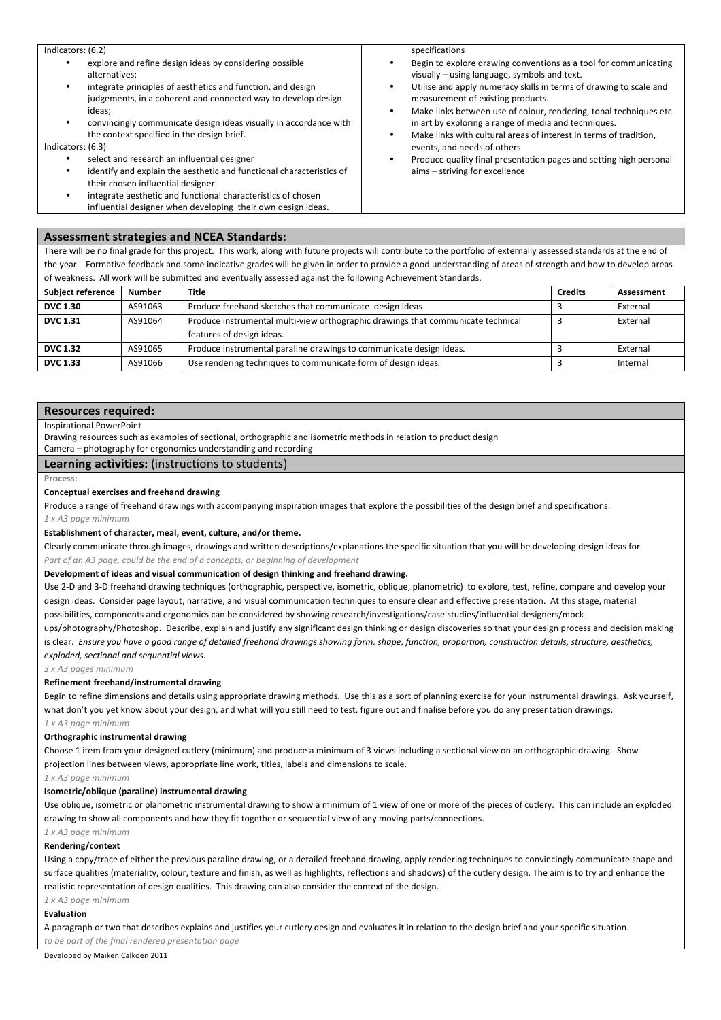#### Indicators: (6.2)

- explore and refine design ideas by considering possible alternatives;
- integrate principles of aesthetics and function, and design judgements, in a coherent and connected way to develop design ideas;
- convincingly communicate design ideas visually in accordance with the context specified in the design brief.

#### Indicators: (6.3)

- select and research an influential designer
	- identify and explain the aesthetic and functional characteristics of their chosen influential designer
- integrate aesthetic and functional characteristics of chosen influential designer when developing their own design ideas

#### Assessment strategies and NCEA Standards:

#### specifications

- Begin to explore drawing conventions as a tool for communicating visually  $-$  using language, symbols and text.
- Utilise and apply numeracy skills in terms of drawing to scale and measurement of existing products.
- Make links between use of colour, rendering, tonal techniques etc in art by exploring a range of media and techniques.
- Make links with cultural areas of interest in terms of tradition, events, and needs of others
- Produce quality final presentation pages and setting high personal  $aims -$ striving for excellence

There will be no final grade for this project. This work, along with future projects will contribute to the portfolio of externally assessed standards at the end of the year. Formative feedback and some indicative grades will be given in order to provide a good understanding of areas of strength and how to develop areas of weakness. All work will be submitted and eventually assessed against the following Achievement Standards.

| <b>Subject reference</b> | <b>Number</b> | Title                                                                            | <b>Credits</b> | Assessment |
|--------------------------|---------------|----------------------------------------------------------------------------------|----------------|------------|
| <b>DVC 1.30</b>          | AS91063       | Produce freehand sketches that communicate design ideas                          |                | External   |
| <b>DVC 1.31</b>          | AS91064       | Produce instrumental multi-view orthographic drawings that communicate technical |                | External   |
|                          |               | features of design ideas.                                                        |                |            |
| <b>DVC 1.32</b>          | AS91065       | Produce instrumental paraline drawings to communicate design ideas.              |                | External   |
| <b>DVC 1.33</b>          | AS91066       | Use rendering techniques to communicate form of design ideas.                    |                | Internal   |

#### **Resources required:**

#### **Inspirational PowerPoint**

Drawing resources such as examples of sectional, orthographic and isometric methods in relation to product design

Camera – photography for ergonomics understanding and recording

#### **Learning activities:** (instructions to students)

**Process:**

#### **Conceptual exercises and freehand drawing**

Produce a range of freehand drawings with accompanying inspiration images that explore the possibilities of the design brief and specifications. *1,x,A3,page,minimum*

#### Establishment of character, meal, event, culture, and/or theme.

Clearly communicate through images, drawings and written descriptions/explanations the specific situation that you will be developing design ideas for. Part of an A3 page, could be the end of a concepts, or beginning of development

#### Development of ideas and visual communication of design thinking and freehand drawing.

Use 2-D and 3-D freehand drawing techniques (orthographic, perspective, isometric, oblique, planometric) to explore, test, refine, compare and develop your design ideas. Consider page layout, narrative, and visual communication techniques to ensure clear and effective presentation. At this stage, material possibilities, components and ergonomics can be considered by showing research/investigations/case studies/influential designers/mock-

ups/photography/Photoshop. Describe, explain and justify any significant design thinking or design discoveries so that your design process and decision making is clear. Ensure you have a good range of detailed freehand drawings showing form, shape, function, proportion, construction details, structure, aesthetics, *exploded, sectional and sequential views.* 

#### *3,x,A3,pages,minimum*

### **Refinement freehand/instrumental drawing**

Begin to refine dimensions and details using appropriate drawing methods. Use this as a sort of planning exercise for your instrumental drawings. Ask yourself, what don't you yet know about your design, and what will you still need to test, figure out and finalise before you do any presentation drawings.

#### **Orthographic instrumental drawing**

Choose 1 item from your designed cutlery (minimum) and produce a minimum of 3 views including a sectional view on an orthographic drawing. Show projection lines between views, appropriate line work, titles, labels and dimensions to scale.

#### *1,x,A3,page,minimum*

*1,x,A3,page,minimum*

### **Isometric/oblique (paraline) instrumental drawing**

Use oblique, isometric or planometric instrumental drawing to show a minimum of 1 view of one or more of the pieces of cutlery. This can include an exploded drawing to show all components and how they fit together or sequential view of any moving parts/connections.

# *1,x,A3,page,minimum*

# **Rendering/context**

Using a copy/trace of either the previous paraline drawing, or a detailed freehand drawing, apply rendering techniques to convincingly communicate shape and surface qualities (materiality, colour, texture and finish, as well as highlights, reflections and shadows) of the cutlery design. The aim is to try and enhance the realistic representation of design qualities. This drawing can also consider the context of the design.

*1,x,A3,page,minimum*

#### **Evaluation**

A paragraph or two that describes explains and justifies your cutlery design and evaluates it in relation to the design brief and your specific situation. to be part of the final rendered presentation page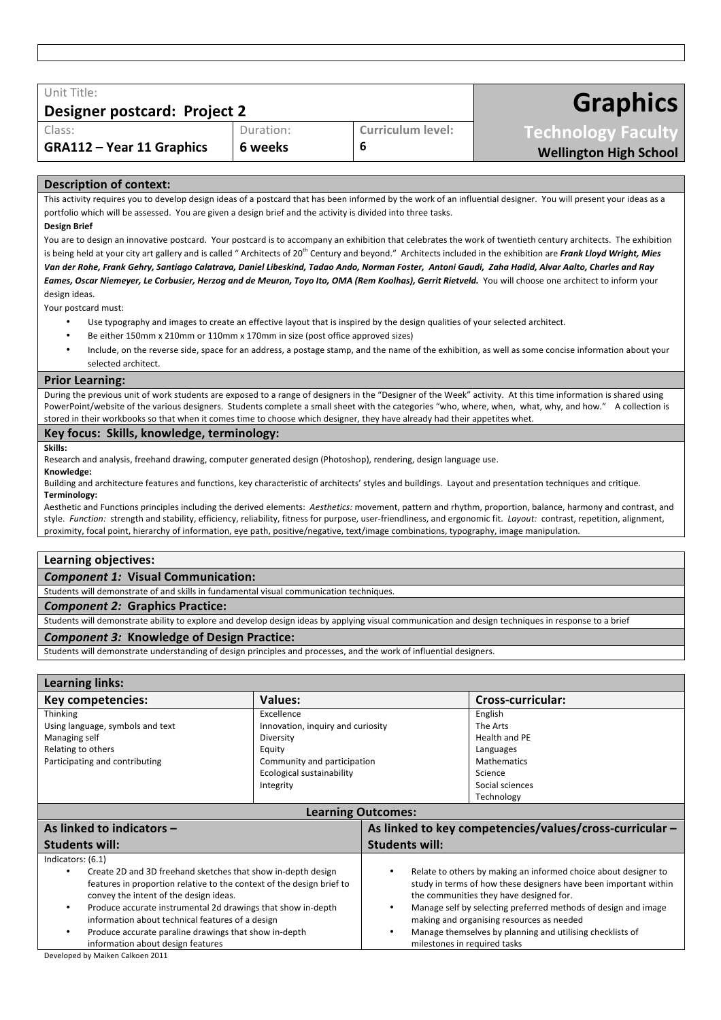| Unit Title:<br><b>Designer postcard: Project 2</b> |           |                          | <b>Graphics</b>               |
|----------------------------------------------------|-----------|--------------------------|-------------------------------|
| Class:                                             | Duration: | <b>Curriculum level:</b> | <b>Technology Faculty</b>     |
| <b>GRA112 - Year 11 Graphics</b>                   | 6 weeks   |                          | <b>Wellington High School</b> |

### **Description of context:**

This activity requires you to develop design ideas of a postcard that has been informed by the work of an influential designer. You will present your ideas as a portfolio which will be assessed. You are given a design brief and the activity is divided into three tasks.

#### **Design Brief**

You are to design an innovative postcard. Your postcard is to accompany an exhibition that celebrates the work of twentieth century architects. The exhibition is being held at your city art gallery and is called "Architects of 20<sup>th</sup> Century and beyond." Architects included in the exhibition are Frank Lloyd Wright, Mies Van der Rohe, Frank Gehry, Santiago Calatrava, Daniel Libeskind, Tadao Ando, Norman Foster, Antoni Gaudi, Zaha Hadid, Alvar Aalto, Charles and Ray *Eames, Oscar Niemeyer, Le Corbusier, Herzog and de Meuron, Toyo Ito, OMA (Rem Koolhas), Gerrit Rietveld. You will choose one architect to inform your* design ideas.

Your postcard must:

- Use typography and images to create an effective layout that is inspired by the design qualities of your selected architect.
- Be either 150mm x 210mm or 110mm x 170mm in size (post office approved sizes)
- Include, on the reverse side, space for an address, a postage stamp, and the name of the exhibition, as well as some concise information about your selected architect.

#### **Prior Learning:**

During the previous unit of work students are exposed to a range of designers in the "Designer of the Week" activity. At this time information is shared using PowerPoint/website of the various designers. Students complete a small sheet with the categories "who, where, when, what, why, and how." A collection is stored in their workbooks so that when it comes time to choose which designer, they have already had their appetites whet.

# Key focus: Skills, knowledge, terminology:

#### **Skills:**

Research and analysis, freehand drawing, computer generated design (Photoshop), rendering, design language use.

### **Knowledge:**

Building and architecture features and functions, key characteristic of architects' styles and buildings. Layout and presentation techniques and critique. **Terminology:**

Aesthetic and Functions principles including the derived elements: Aesthetics: movement, pattern and rhythm, proportion, balance, harmony and contrast, and style. Function: strength and stability, efficiency, reliability, fitness for purpose, user-friendliness, and ergonomic fit. Layout: contrast, repetition, alignment, proximity, focal point, hierarchy of information, eye path, positive/negative, text/image combinations, typography, image manipulation.

### **Learning\*objectives:**

### *Component 1:* **Visual Communication:**

Students will demonstrate of and skills in fundamental visual communication techniques.

### *Component 2: Graphics Practice:*

Students will demonstrate ability to explore and develop design ideas by applying visual communication and design techniques in response to a brief

### *Component 3:* **Knowledge of Design Practice:**

Students will demonstrate understanding of design principles and processes, and the work of influential designers.

# Learning links:

| $-$ - $\cdots$ $\cdots$ $\cdots$ $\cdots$ |                                   |                   |
|-------------------------------------------|-----------------------------------|-------------------|
| <b>Key competencies:</b>                  | Values:                           | Cross-curricular: |
| Thinking                                  | Excellence                        | English           |
| Using language, symbols and text          | Innovation, inquiry and curiosity | The Arts          |
| Managing self                             | Diversity                         | Health and PE     |
| Relating to others                        | Equity                            | Languages         |
| Participating and contributing            | Community and participation       | Mathematics       |
|                                           | Ecological sustainability         | Science           |
|                                           | Integrity                         | Social sciences   |
|                                           |                                   | Technology        |

| <b>Learning Outcomes:</b>                                                                                                                                                       |                                                                                                                                                                                |  |  |
|---------------------------------------------------------------------------------------------------------------------------------------------------------------------------------|--------------------------------------------------------------------------------------------------------------------------------------------------------------------------------|--|--|
| As linked to indicators -                                                                                                                                                       | As linked to key competencies/values/cross-curricular -                                                                                                                        |  |  |
| <b>Students will:</b>                                                                                                                                                           | <b>Students will:</b>                                                                                                                                                          |  |  |
| Indicators: (6.1)                                                                                                                                                               |                                                                                                                                                                                |  |  |
| Create 2D and 3D freehand sketches that show in-depth design<br>features in proportion relative to the context of the design brief to<br>convey the intent of the design ideas. | Relate to others by making an informed choice about designer to<br>study in terms of how these designers have been important within<br>the communities they have designed for. |  |  |
| Produce accurate instrumental 2d drawings that show in-depth<br>information about technical features of a design                                                                | Manage self by selecting preferred methods of design and image<br>making and organising resources as needed                                                                    |  |  |
| Produce accurate paraline drawings that show in-depth<br>information about design features                                                                                      | Manage themselves by planning and utilising checklists of<br>milestones in required tasks                                                                                      |  |  |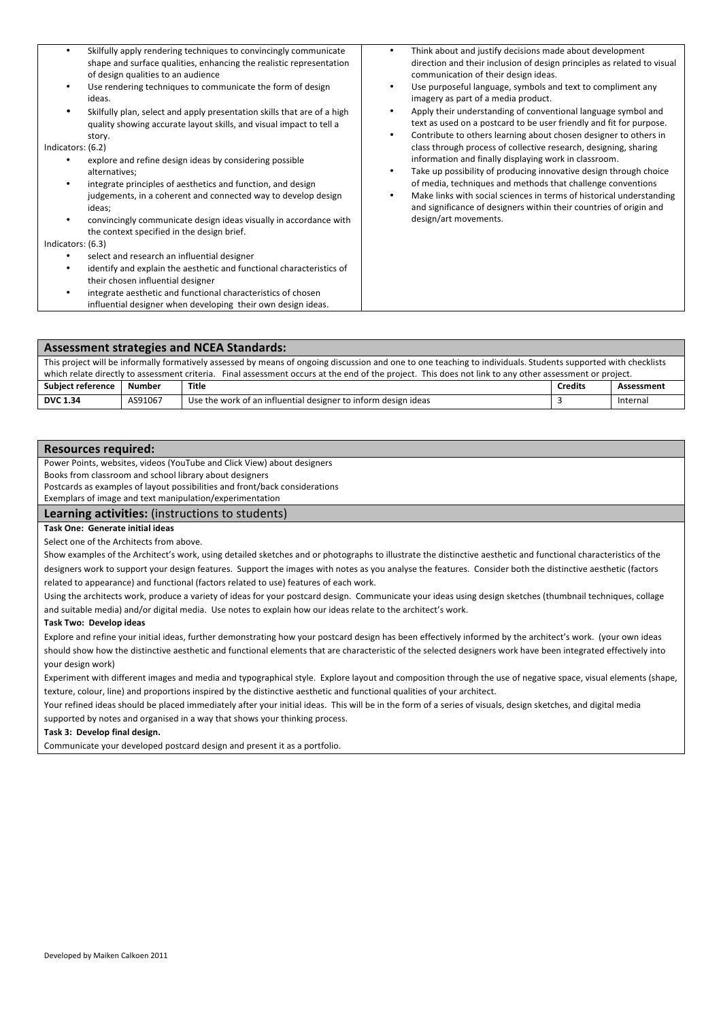| Skilfully apply rendering techniques to convincingly communicate<br>٠<br>shape and surface qualities, enhancing the realistic representation<br>of design qualities to an audience<br>Use rendering techniques to communicate the form of design<br>ideas.<br>Skilfully plan, select and apply presentation skills that are of a high<br>quality showing accurate layout skills, and visual impact to tell a<br>story.<br>Indicators: (6.2)<br>explore and refine design ideas by considering possible<br>alternatives;<br>integrate principles of aesthetics and function, and design<br>judgements, in a coherent and connected way to develop design<br>ideas;<br>convincingly communicate design ideas visually in accordance with<br>the context specified in the design brief. | Think about and justify decisions made about development<br>direction and their inclusion of design principles as related to visual<br>communication of their design ideas.<br>Use purposeful language, symbols and text to compliment any<br>imagery as part of a media product.<br>Apply their understanding of conventional language symbol and<br>text as used on a postcard to be user friendly and fit for purpose.<br>Contribute to others learning about chosen designer to others in<br>class through process of collective research, designing, sharing<br>information and finally displaying work in classroom.<br>Take up possibility of producing innovative design through choice<br>of media, techniques and methods that challenge conventions<br>Make links with social sciences in terms of historical understanding<br>and significance of designers within their countries of origin and<br>design/art movements. |
|--------------------------------------------------------------------------------------------------------------------------------------------------------------------------------------------------------------------------------------------------------------------------------------------------------------------------------------------------------------------------------------------------------------------------------------------------------------------------------------------------------------------------------------------------------------------------------------------------------------------------------------------------------------------------------------------------------------------------------------------------------------------------------------|---------------------------------------------------------------------------------------------------------------------------------------------------------------------------------------------------------------------------------------------------------------------------------------------------------------------------------------------------------------------------------------------------------------------------------------------------------------------------------------------------------------------------------------------------------------------------------------------------------------------------------------------------------------------------------------------------------------------------------------------------------------------------------------------------------------------------------------------------------------------------------------------------------------------------------------|
| Indicators: (6.3)                                                                                                                                                                                                                                                                                                                                                                                                                                                                                                                                                                                                                                                                                                                                                                    |                                                                                                                                                                                                                                                                                                                                                                                                                                                                                                                                                                                                                                                                                                                                                                                                                                                                                                                                       |
| select and research an influential designer<br>identify and explain the aesthetic and functional characteristics of<br>٠<br>their chosen influential designer<br>integrate aesthetic and functional characteristics of chosen<br>influential designer when developing their own design ideas.                                                                                                                                                                                                                                                                                                                                                                                                                                                                                        |                                                                                                                                                                                                                                                                                                                                                                                                                                                                                                                                                                                                                                                                                                                                                                                                                                                                                                                                       |

| <b>Assessment strategies and NCEA Standards:</b>                                                                                                        |                                                                                                                                                                |       |                |            |  |
|---------------------------------------------------------------------------------------------------------------------------------------------------------|----------------------------------------------------------------------------------------------------------------------------------------------------------------|-------|----------------|------------|--|
|                                                                                                                                                         | This project will be informally formatively assessed by means of ongoing discussion and one to one teaching to individuals. Students supported with checklists |       |                |            |  |
| which relate directly to assessment criteria. Final assessment occurs at the end of the project. This does not link to any other assessment or project. |                                                                                                                                                                |       |                |            |  |
| <b>Subject reference</b>                                                                                                                                | <b>Number</b>                                                                                                                                                  | Title | <b>Credits</b> | Assessment |  |
| Use the work of an influential designer to inform design ideas<br><b>DVC 1.34</b><br>AS91067<br>Internal                                                |                                                                                                                                                                |       |                |            |  |

# **Resources required:**

Power Points, websites, videos (YouTube and Click View) about designers

Books from classroom and school library about designers

Postcards as examples of layout possibilities and front/back considerations

Exemplars of image and text manipulation/experimentation

# **Learning activities:** (instructions to students)

# **Task One: Generate initial ideas**

Select one of the Architects from above.

Show examples of the Architect's work, using detailed sketches and or photographs to illustrate the distinctive aesthetic and functional characteristics of the designers work to support your design features. Support the images with notes as you analyse the features. Consider both the distinctive aesthetic (factors related to appearance) and functional (factors related to use) features of each work.

Using the architects work, produce a variety of ideas for your postcard design. Communicate your ideas using design sketches (thumbnail techniques, collage and suitable media) and/or digital media. Use notes to explain how our ideas relate to the architect's work.

# Task Two: Develop ideas

Explore and refine your initial ideas, further demonstrating how your postcard design has been effectively informed by the architect's work. (your own ideas should show how the distinctive aesthetic and functional elements that are characteristic of the selected designers work have been integrated effectively into your design work)

Experiment with different images and media and typographical style. Explore layout and composition through the use of negative space, visual elements (shape, texture, colour, line) and proportions inspired by the distinctive aesthetic and functional qualities of your architect.

Your refined ideas should be placed immediately after your initial ideas. This will be in the form of a series of visuals, design sketches, and digital media supported by notes and organised in a way that shows your thinking process.

Task 3: Develop final design.

Communicate your developed postcard design and present it as a portfolio.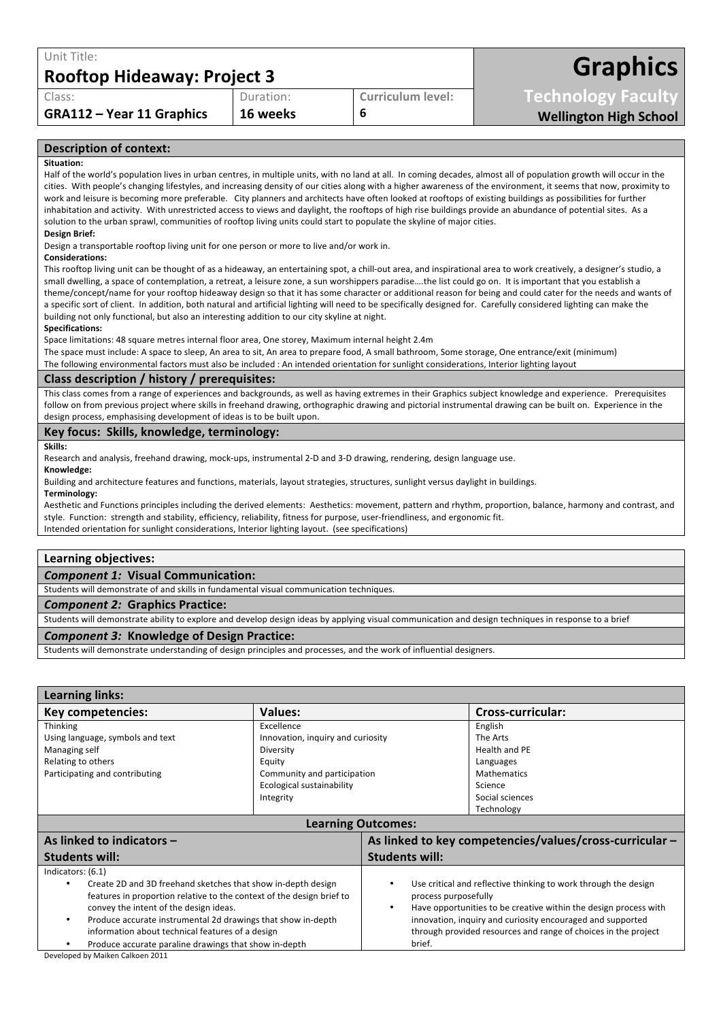| Unit Title:                                                                                                                                                                                                                                                                                                                                                                                                                                                                                                                                                                                                                                                                                                                                                                                                                                                                                                                                                                                                                                                                                                                                                                                                                                                                                                                                                                                                                                                                                                                                                                                                                                                                                                                                                                                                                                                                                                                                                                                                                                                                                |                                                                                                                                                                                                                                                                 |                                |                                                                                                                                                                                                                                                                                                                                                                                                                                                                                                                                                                                                                                                                                                                                                                                                                                                                                                                                                                                                                                                                                                                                                                             |
|--------------------------------------------------------------------------------------------------------------------------------------------------------------------------------------------------------------------------------------------------------------------------------------------------------------------------------------------------------------------------------------------------------------------------------------------------------------------------------------------------------------------------------------------------------------------------------------------------------------------------------------------------------------------------------------------------------------------------------------------------------------------------------------------------------------------------------------------------------------------------------------------------------------------------------------------------------------------------------------------------------------------------------------------------------------------------------------------------------------------------------------------------------------------------------------------------------------------------------------------------------------------------------------------------------------------------------------------------------------------------------------------------------------------------------------------------------------------------------------------------------------------------------------------------------------------------------------------------------------------------------------------------------------------------------------------------------------------------------------------------------------------------------------------------------------------------------------------------------------------------------------------------------------------------------------------------------------------------------------------------------------------------------------------------------------------------------------------|-----------------------------------------------------------------------------------------------------------------------------------------------------------------------------------------------------------------------------------------------------------------|--------------------------------|-----------------------------------------------------------------------------------------------------------------------------------------------------------------------------------------------------------------------------------------------------------------------------------------------------------------------------------------------------------------------------------------------------------------------------------------------------------------------------------------------------------------------------------------------------------------------------------------------------------------------------------------------------------------------------------------------------------------------------------------------------------------------------------------------------------------------------------------------------------------------------------------------------------------------------------------------------------------------------------------------------------------------------------------------------------------------------------------------------------------------------------------------------------------------------|
| <b>Rooftop Hideaway: Project 3</b>                                                                                                                                                                                                                                                                                                                                                                                                                                                                                                                                                                                                                                                                                                                                                                                                                                                                                                                                                                                                                                                                                                                                                                                                                                                                                                                                                                                                                                                                                                                                                                                                                                                                                                                                                                                                                                                                                                                                                                                                                                                         |                                                                                                                                                                                                                                                                 |                                | <b>Graphics</b>                                                                                                                                                                                                                                                                                                                                                                                                                                                                                                                                                                                                                                                                                                                                                                                                                                                                                                                                                                                                                                                                                                                                                             |
| Class:                                                                                                                                                                                                                                                                                                                                                                                                                                                                                                                                                                                                                                                                                                                                                                                                                                                                                                                                                                                                                                                                                                                                                                                                                                                                                                                                                                                                                                                                                                                                                                                                                                                                                                                                                                                                                                                                                                                                                                                                                                                                                     | Duration:                                                                                                                                                                                                                                                       | <b>Curriculum level:</b>       | <b>Technology Faculty</b>                                                                                                                                                                                                                                                                                                                                                                                                                                                                                                                                                                                                                                                                                                                                                                                                                                                                                                                                                                                                                                                                                                                                                   |
| <b>GRA112 - Year 11 Graphics</b>                                                                                                                                                                                                                                                                                                                                                                                                                                                                                                                                                                                                                                                                                                                                                                                                                                                                                                                                                                                                                                                                                                                                                                                                                                                                                                                                                                                                                                                                                                                                                                                                                                                                                                                                                                                                                                                                                                                                                                                                                                                           | 16 weeks                                                                                                                                                                                                                                                        | 6                              | <b>Wellington High School</b>                                                                                                                                                                                                                                                                                                                                                                                                                                                                                                                                                                                                                                                                                                                                                                                                                                                                                                                                                                                                                                                                                                                                               |
|                                                                                                                                                                                                                                                                                                                                                                                                                                                                                                                                                                                                                                                                                                                                                                                                                                                                                                                                                                                                                                                                                                                                                                                                                                                                                                                                                                                                                                                                                                                                                                                                                                                                                                                                                                                                                                                                                                                                                                                                                                                                                            |                                                                                                                                                                                                                                                                 |                                |                                                                                                                                                                                                                                                                                                                                                                                                                                                                                                                                                                                                                                                                                                                                                                                                                                                                                                                                                                                                                                                                                                                                                                             |
| <b>Description of context:</b>                                                                                                                                                                                                                                                                                                                                                                                                                                                                                                                                                                                                                                                                                                                                                                                                                                                                                                                                                                                                                                                                                                                                                                                                                                                                                                                                                                                                                                                                                                                                                                                                                                                                                                                                                                                                                                                                                                                                                                                                                                                             |                                                                                                                                                                                                                                                                 |                                |                                                                                                                                                                                                                                                                                                                                                                                                                                                                                                                                                                                                                                                                                                                                                                                                                                                                                                                                                                                                                                                                                                                                                                             |
| Situation:<br>work and leisure is becoming more preferable. City planners and architects have often looked at rooftops of existing buildings as possibilities for further<br>inhabitation and activity. With unrestricted access to views and daylight, the rooftops of high rise buildings provide an abundance of potential sites. As a<br>solution to the urban sprawl, communities of rooftop living units could start to populate the skyline of major cities.<br>Design Brief:<br>Design a transportable rooftop living unit for one person or more to live and/or work in.<br><b>Considerations:</b><br>small dwelling, a space of contemplation, a retreat, a leisure zone, a sun worshippers paradisethe list could go on. It is important that you establish a<br>a specific sort of client. In addition, both natural and artificial lighting will need to be specifically designed for. Carefully considered lighting can make the<br>building not only functional, but also an interesting addition to our city skyline at night.<br><b>Specifications:</b><br>Space limitations: 48 square metres internal floor area, One storey, Maximum internal height 2.4m<br>The space must include: A space to sleep, An area to sit, An area to prepare food, A small bathroom, Some storage, One entrance/exit (minimum)<br>The following environmental factors must also be included : An intended orientation for sunlight considerations, Interior lighting layout<br>Class description / history / prerequisites:<br>design process, emphasising development of ideas is to be built upon.<br>Key focus: Skills, knowledge, terminology:<br>Skills:<br>Research and analysis, freehand drawing, mock-ups, instrumental 2-D and 3-D drawing, rendering, design language use.<br>Knowledge:<br>Building and architecture features and functions, materials, layout strategies, structures, sunlight versus daylight in buildings.<br>Terminology:<br>style. Function: strength and stability, efficiency, reliability, fitness for purpose, user-friendliness, and ergonomic fit. |                                                                                                                                                                                                                                                                 |                                | Half of the world's population lives in urban centres, in multiple units, with no land at all. In coming decades, almost all of population growth will occur in the<br>cities. With people's changing lifestyles, and increasing density of our cities along with a higher awareness of the environment, it seems that now, proximity to<br>This rooftop living unit can be thought of as a hideaway, an entertaining spot, a chill-out area, and inspirational area to work creatively, a designer's studio, a<br>theme/concept/name for your rooftop hideaway design so that it has some character or additional reason for being and could cater for the needs and wants of<br>This class comes from a range of experiences and backgrounds, as well as having extremes in their Graphics subject knowledge and experience. Prerequisites<br>follow on from previous project where skills in freehand drawing, orthographic drawing and pictorial instrumental drawing can be built on. Experience in the<br>Aesthetic and Functions principles including the derived elements: Aesthetics: movement, pattern and rhythm, proportion, balance, harmony and contrast, and |
| Intended orientation for sunlight considerations, Interior lighting layout. (see specifications)                                                                                                                                                                                                                                                                                                                                                                                                                                                                                                                                                                                                                                                                                                                                                                                                                                                                                                                                                                                                                                                                                                                                                                                                                                                                                                                                                                                                                                                                                                                                                                                                                                                                                                                                                                                                                                                                                                                                                                                           |                                                                                                                                                                                                                                                                 |                                |                                                                                                                                                                                                                                                                                                                                                                                                                                                                                                                                                                                                                                                                                                                                                                                                                                                                                                                                                                                                                                                                                                                                                                             |
| Learning objectives:                                                                                                                                                                                                                                                                                                                                                                                                                                                                                                                                                                                                                                                                                                                                                                                                                                                                                                                                                                                                                                                                                                                                                                                                                                                                                                                                                                                                                                                                                                                                                                                                                                                                                                                                                                                                                                                                                                                                                                                                                                                                       |                                                                                                                                                                                                                                                                 |                                |                                                                                                                                                                                                                                                                                                                                                                                                                                                                                                                                                                                                                                                                                                                                                                                                                                                                                                                                                                                                                                                                                                                                                                             |
| <b>Component 1: Visual Communication:</b><br>Students will demonstrate of and skills in fundamental visual communication techniques.                                                                                                                                                                                                                                                                                                                                                                                                                                                                                                                                                                                                                                                                                                                                                                                                                                                                                                                                                                                                                                                                                                                                                                                                                                                                                                                                                                                                                                                                                                                                                                                                                                                                                                                                                                                                                                                                                                                                                       |                                                                                                                                                                                                                                                                 |                                |                                                                                                                                                                                                                                                                                                                                                                                                                                                                                                                                                                                                                                                                                                                                                                                                                                                                                                                                                                                                                                                                                                                                                                             |
| <b>Component 2: Graphics Practice:</b>                                                                                                                                                                                                                                                                                                                                                                                                                                                                                                                                                                                                                                                                                                                                                                                                                                                                                                                                                                                                                                                                                                                                                                                                                                                                                                                                                                                                                                                                                                                                                                                                                                                                                                                                                                                                                                                                                                                                                                                                                                                     |                                                                                                                                                                                                                                                                 |                                |                                                                                                                                                                                                                                                                                                                                                                                                                                                                                                                                                                                                                                                                                                                                                                                                                                                                                                                                                                                                                                                                                                                                                                             |
| Students will demonstrate ability to explore and develop design ideas by applying visual communication and design techniques in response to a brief                                                                                                                                                                                                                                                                                                                                                                                                                                                                                                                                                                                                                                                                                                                                                                                                                                                                                                                                                                                                                                                                                                                                                                                                                                                                                                                                                                                                                                                                                                                                                                                                                                                                                                                                                                                                                                                                                                                                        |                                                                                                                                                                                                                                                                 |                                |                                                                                                                                                                                                                                                                                                                                                                                                                                                                                                                                                                                                                                                                                                                                                                                                                                                                                                                                                                                                                                                                                                                                                                             |
| <b>Component 3: Knowledge of Design Practice:</b>                                                                                                                                                                                                                                                                                                                                                                                                                                                                                                                                                                                                                                                                                                                                                                                                                                                                                                                                                                                                                                                                                                                                                                                                                                                                                                                                                                                                                                                                                                                                                                                                                                                                                                                                                                                                                                                                                                                                                                                                                                          |                                                                                                                                                                                                                                                                 |                                |                                                                                                                                                                                                                                                                                                                                                                                                                                                                                                                                                                                                                                                                                                                                                                                                                                                                                                                                                                                                                                                                                                                                                                             |
| Students will demonstrate understanding of design principles and processes, and the work of influential designers.                                                                                                                                                                                                                                                                                                                                                                                                                                                                                                                                                                                                                                                                                                                                                                                                                                                                                                                                                                                                                                                                                                                                                                                                                                                                                                                                                                                                                                                                                                                                                                                                                                                                                                                                                                                                                                                                                                                                                                         |                                                                                                                                                                                                                                                                 |                                |                                                                                                                                                                                                                                                                                                                                                                                                                                                                                                                                                                                                                                                                                                                                                                                                                                                                                                                                                                                                                                                                                                                                                                             |
|                                                                                                                                                                                                                                                                                                                                                                                                                                                                                                                                                                                                                                                                                                                                                                                                                                                                                                                                                                                                                                                                                                                                                                                                                                                                                                                                                                                                                                                                                                                                                                                                                                                                                                                                                                                                                                                                                                                                                                                                                                                                                            |                                                                                                                                                                                                                                                                 |                                |                                                                                                                                                                                                                                                                                                                                                                                                                                                                                                                                                                                                                                                                                                                                                                                                                                                                                                                                                                                                                                                                                                                                                                             |
| <b>Learning links:</b>                                                                                                                                                                                                                                                                                                                                                                                                                                                                                                                                                                                                                                                                                                                                                                                                                                                                                                                                                                                                                                                                                                                                                                                                                                                                                                                                                                                                                                                                                                                                                                                                                                                                                                                                                                                                                                                                                                                                                                                                                                                                     |                                                                                                                                                                                                                                                                 |                                |                                                                                                                                                                                                                                                                                                                                                                                                                                                                                                                                                                                                                                                                                                                                                                                                                                                                                                                                                                                                                                                                                                                                                                             |
| <b>Key competencies:</b>                                                                                                                                                                                                                                                                                                                                                                                                                                                                                                                                                                                                                                                                                                                                                                                                                                                                                                                                                                                                                                                                                                                                                                                                                                                                                                                                                                                                                                                                                                                                                                                                                                                                                                                                                                                                                                                                                                                                                                                                                                                                   | <b>Values:</b>                                                                                                                                                                                                                                                  |                                | Cross-curricular:                                                                                                                                                                                                                                                                                                                                                                                                                                                                                                                                                                                                                                                                                                                                                                                                                                                                                                                                                                                                                                                                                                                                                           |
| Thinking<br>Using language, symbols and text<br>Managing self<br>Relating to others<br>Participating and contributing                                                                                                                                                                                                                                                                                                                                                                                                                                                                                                                                                                                                                                                                                                                                                                                                                                                                                                                                                                                                                                                                                                                                                                                                                                                                                                                                                                                                                                                                                                                                                                                                                                                                                                                                                                                                                                                                                                                                                                      | Excellence<br>English<br>The Arts<br>Innovation, inquiry and curiosity<br>Diversity<br>Health and PE<br>Equity<br>Languages<br>Community and participation<br>Mathematics<br>Ecological sustainability<br>Science<br>Integrity<br>Social sciences<br>Technology |                                |                                                                                                                                                                                                                                                                                                                                                                                                                                                                                                                                                                                                                                                                                                                                                                                                                                                                                                                                                                                                                                                                                                                                                                             |
|                                                                                                                                                                                                                                                                                                                                                                                                                                                                                                                                                                                                                                                                                                                                                                                                                                                                                                                                                                                                                                                                                                                                                                                                                                                                                                                                                                                                                                                                                                                                                                                                                                                                                                                                                                                                                                                                                                                                                                                                                                                                                            |                                                                                                                                                                                                                                                                 | <b>Learning Outcomes:</b>      |                                                                                                                                                                                                                                                                                                                                                                                                                                                                                                                                                                                                                                                                                                                                                                                                                                                                                                                                                                                                                                                                                                                                                                             |
| As linked to indicators -                                                                                                                                                                                                                                                                                                                                                                                                                                                                                                                                                                                                                                                                                                                                                                                                                                                                                                                                                                                                                                                                                                                                                                                                                                                                                                                                                                                                                                                                                                                                                                                                                                                                                                                                                                                                                                                                                                                                                                                                                                                                  |                                                                                                                                                                                                                                                                 |                                | As linked to key competencies/values/cross-curricular -                                                                                                                                                                                                                                                                                                                                                                                                                                                                                                                                                                                                                                                                                                                                                                                                                                                                                                                                                                                                                                                                                                                     |
| <b>Students will:</b>                                                                                                                                                                                                                                                                                                                                                                                                                                                                                                                                                                                                                                                                                                                                                                                                                                                                                                                                                                                                                                                                                                                                                                                                                                                                                                                                                                                                                                                                                                                                                                                                                                                                                                                                                                                                                                                                                                                                                                                                                                                                      |                                                                                                                                                                                                                                                                 | <b>Students will:</b>          |                                                                                                                                                                                                                                                                                                                                                                                                                                                                                                                                                                                                                                                                                                                                                                                                                                                                                                                                                                                                                                                                                                                                                                             |
| Indicators: (6.1)<br>$\bullet$<br>Create 2D and 3D freehand sketches that show in-depth design<br>features in proportion relative to the context of the design brief to<br>convey the intent of the design ideas.<br>Produce accurate instrumental 2d drawings that show in-depth<br>$\bullet$                                                                                                                                                                                                                                                                                                                                                                                                                                                                                                                                                                                                                                                                                                                                                                                                                                                                                                                                                                                                                                                                                                                                                                                                                                                                                                                                                                                                                                                                                                                                                                                                                                                                                                                                                                                             |                                                                                                                                                                                                                                                                 | ٠<br>process purposefully<br>٠ | Use critical and reflective thinking to work through the design<br>Have opportunities to be creative within the design process with<br>innovation, inquiry and curiosity encouraged and supported                                                                                                                                                                                                                                                                                                                                                                                                                                                                                                                                                                                                                                                                                                                                                                                                                                                                                                                                                                           |

through provided resources and range of choices in the project

brief.

|           | T TUUUCE QUUUTQUE IIISU UIIIEIIUQI ZU UTQWIIIES UTQU SIIUW II |
|-----------|---------------------------------------------------------------|
|           | information about technical features of a design              |
| $\bullet$ | Produce accurate paraline drawings that show in-depth         |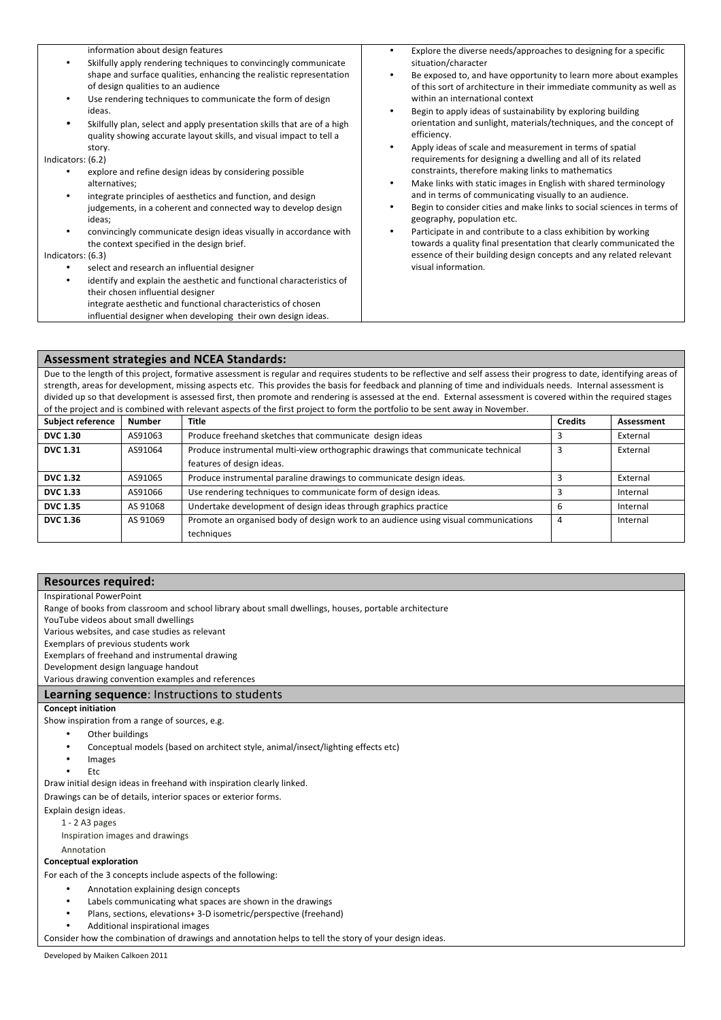| information about design features<br>Skilfully apply rendering techniques to convincingly communicate<br>shape and surface qualities, enhancing the realistic representation<br>of design qualities to an audience<br>Use rendering techniques to communicate the form of design<br>ideas.<br>Skilfully plan, select and apply presentation skills that are of a high<br>quality showing accurate layout skills, and visual impact to tell a<br>story.<br>Indicators: (6.2)<br>explore and refine design ideas by considering possible<br>alternatives;<br>integrate principles of aesthetics and function, and design<br>judgements, in a coherent and connected way to develop design<br>ideas;<br>convincingly communicate design ideas visually in accordance with<br>the context specified in the design brief.<br>Indicators: (6.3)<br>select and research an influential designer<br>identify and explain the aesthetic and functional characteristics of<br>their chosen influential designer<br>integrate aesthetic and functional characteristics of chosen | Explore the diverse needs/approaches to designing for a specific<br>$\bullet$<br>situation/character<br>Be exposed to, and have opportunity to learn more about examples<br>of this sort of architecture in their immediate community as well as<br>within an international context<br>Begin to apply ideas of sustainability by exploring building<br>$\bullet$<br>orientation and sunlight, materials/techniques, and the concept of<br>efficiency.<br>Apply ideas of scale and measurement in terms of spatial<br>requirements for designing a dwelling and all of its related<br>constraints, therefore making links to mathematics<br>Make links with static images in English with shared terminology<br>and in terms of communicating visually to an audience.<br>Begin to consider cities and make links to social sciences in terms of<br>geography, population etc.<br>Participate in and contribute to a class exhibition by working<br>towards a quality final presentation that clearly communicated the<br>essence of their building design concepts and any related relevant<br>visual information. |
|-----------------------------------------------------------------------------------------------------------------------------------------------------------------------------------------------------------------------------------------------------------------------------------------------------------------------------------------------------------------------------------------------------------------------------------------------------------------------------------------------------------------------------------------------------------------------------------------------------------------------------------------------------------------------------------------------------------------------------------------------------------------------------------------------------------------------------------------------------------------------------------------------------------------------------------------------------------------------------------------------------------------------------------------------------------------------|--------------------------------------------------------------------------------------------------------------------------------------------------------------------------------------------------------------------------------------------------------------------------------------------------------------------------------------------------------------------------------------------------------------------------------------------------------------------------------------------------------------------------------------------------------------------------------------------------------------------------------------------------------------------------------------------------------------------------------------------------------------------------------------------------------------------------------------------------------------------------------------------------------------------------------------------------------------------------------------------------------------------------------------------------------------------------------------------------------------------|
| influential designer when developing their own design ideas.                                                                                                                                                                                                                                                                                                                                                                                                                                                                                                                                                                                                                                                                                                                                                                                                                                                                                                                                                                                                          |                                                                                                                                                                                                                                                                                                                                                                                                                                                                                                                                                                                                                                                                                                                                                                                                                                                                                                                                                                                                                                                                                                                    |

### Assessment strategies and NCEA Standards:

Due to the length of this project, formative assessment is regular and requires students to be reflective and self assess their progress to date, identifying areas of strength, areas for development, missing aspects etc. This provides the basis for feedback and planning of time and individuals needs. Internal assessment is divided up so that development is assessed first, then promote and rendering is assessed at the end. External assessment is covered within the required stages of the project and is combined with relevant aspects of the first project to form the portfolio to be sent away in November.

| <b>Subject reference</b> | <b>Number</b> | Title                                                                               | <b>Credits</b> | Assessment |
|--------------------------|---------------|-------------------------------------------------------------------------------------|----------------|------------|
| <b>DVC 1.30</b>          | AS91063       | Produce freehand sketches that communicate design ideas                             |                | External   |
| <b>DVC 1.31</b>          | AS91064       | Produce instrumental multi-view orthographic drawings that communicate technical    |                | External   |
|                          |               | features of design ideas.                                                           |                |            |
| <b>DVC 1.32</b>          | AS91065       | Produce instrumental paraline drawings to communicate design ideas.                 |                | External   |
| <b>DVC 1.33</b>          | AS91066       | Use rendering techniques to communicate form of design ideas.                       |                | Internal   |
| <b>DVC 1.35</b>          | AS 91068      | Undertake development of design ideas through graphics practice                     |                | Internal   |
| <b>DVC 1.36</b>          | AS 91069      | Promote an organised body of design work to an audience using visual communications |                | Internal   |
|                          |               | techniques                                                                          |                |            |

# **Resources required:**

**Inspirational PowerPoint** 

Range of books from classroom and school library about small dwellings, houses, portable architecture

YouTube videos about small dwellings

Various websites, and case studies as relevant

Exemplars of previous students work

Exemplars of freehand and instrumental drawing

Development design language handout

Various drawing convention examples and references

# Learning sequence: Instructions to students

# **Concept initiation**

Show inspiration from a range of sources, e.g.

- Other buildings
- Conceptual models (based on architect style, animal/insect/lighting effects etc)
- Images
- Etc
- Draw initial design ideas in freehand with inspiration clearly linked.

Drawings can be of details, interior spaces or exterior forms.

Explain design ideas.

 $1 - 2$  A3 pages

Inspiration images and drawings

Annotation

### **Conceptual exploration**

For each of the 3 concepts include aspects of the following:

- Annotation explaining design concepts
- Labels communicating what spaces are shown in the drawings
- Plans, sections, elevations+ 3-D isometric/perspective (freehand)
- Additional inspirational images

Consider how the combination of drawings and annotation helps to tell the story of your design ideas.